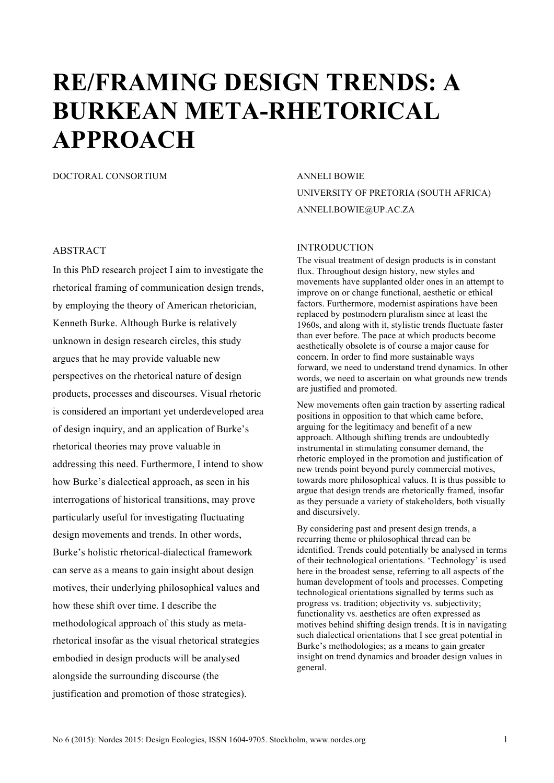# **RE/FRAMING DESIGN TRENDS: A BURKEAN META-RHETORICAL APPROACH**

DOCTORAL CONSORTIUM ANNELI BOWIE

# ABSTRACT

In this PhD research project I aim to investigate the rhetorical framing of communication design trends, by employing the theory of American rhetorician, Kenneth Burke. Although Burke is relatively unknown in design research circles, this study argues that he may provide valuable new perspectives on the rhetorical nature of design products, processes and discourses. Visual rhetoric is considered an important yet underdeveloped area of design inquiry, and an application of Burke's rhetorical theories may prove valuable in addressing this need. Furthermore, I intend to show how Burke's dialectical approach, as seen in his interrogations of historical transitions, may prove particularly useful for investigating fluctuating design movements and trends. In other words, Burke's holistic rhetorical-dialectical framework can serve as a means to gain insight about design motives, their underlying philosophical values and how these shift over time. I describe the methodological approach of this study as metarhetorical insofar as the visual rhetorical strategies embodied in design products will be analysed alongside the surrounding discourse (the justification and promotion of those strategies).

UNIVERSITY OF PRETORIA (SOUTH AFRICA) ANNELI.BOWIE@UP.AC.ZA

#### INTRODUCTION

The visual treatment of design products is in constant flux. Throughout design history, new styles and movements have supplanted older ones in an attempt to improve on or change functional, aesthetic or ethical factors. Furthermore, modernist aspirations have been replaced by postmodern pluralism since at least the 1960s, and along with it, stylistic trends fluctuate faster than ever before. The pace at which products become aesthetically obsolete is of course a major cause for concern. In order to find more sustainable ways forward, we need to understand trend dynamics. In other words, we need to ascertain on what grounds new trends are justified and promoted.

New movements often gain traction by asserting radical positions in opposition to that which came before, arguing for the legitimacy and benefit of a new approach. Although shifting trends are undoubtedly instrumental in stimulating consumer demand, the rhetoric employed in the promotion and justification of new trends point beyond purely commercial motives, towards more philosophical values. It is thus possible to argue that design trends are rhetorically framed, insofar as they persuade a variety of stakeholders, both visually and discursively.

By considering past and present design trends, a recurring theme or philosophical thread can be identified. Trends could potentially be analysed in terms of their technological orientations. 'Technology' is used here in the broadest sense, referring to all aspects of the human development of tools and processes. Competing technological orientations signalled by terms such as progress vs. tradition; objectivity vs. subjectivity; functionality vs. aesthetics are often expressed as motives behind shifting design trends. It is in navigating such dialectical orientations that I see great potential in Burke's methodologies; as a means to gain greater insight on trend dynamics and broader design values in general.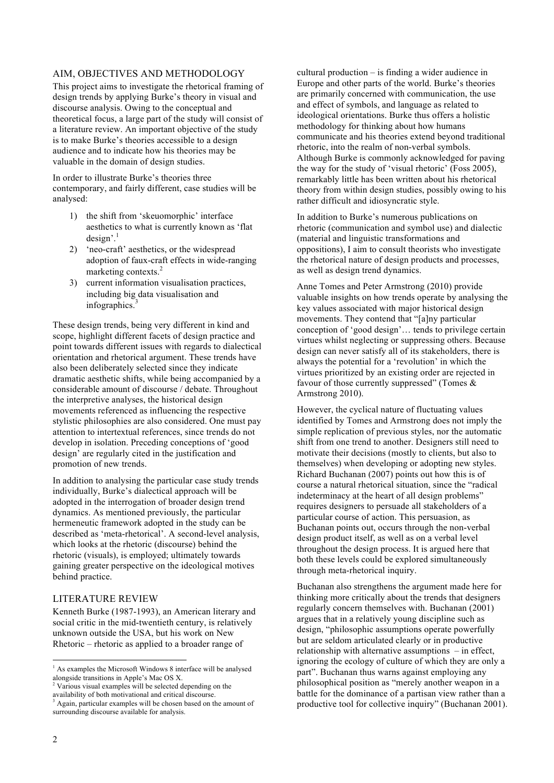#### AIM, OBJECTIVES AND METHODOLOGY

This project aims to investigate the rhetorical framing of design trends by applying Burke's theory in visual and discourse analysis. Owing to the conceptual and theoretical focus, a large part of the study will consist of a literature review. An important objective of the study is to make Burke's theories accessible to a design audience and to indicate how his theories may be valuable in the domain of design studies.

In order to illustrate Burke's theories three contemporary, and fairly different, case studies will be analysed:

- 1) the shift from 'skeuomorphic' interface aesthetics to what is currently known as 'flat  $design'.<sup>1</sup>$
- 2) 'neo-craft' aesthetics, or the widespread adoption of faux-craft effects in wide-ranging marketing contexts.<sup>2</sup>
- 3) current information visualisation practices, including big data visualisation and infographics. $3$

These design trends, being very different in kind and scope, highlight different facets of design practice and point towards different issues with regards to dialectical orientation and rhetorical argument. These trends have also been deliberately selected since they indicate dramatic aesthetic shifts, while being accompanied by a considerable amount of discourse / debate. Throughout the interpretive analyses, the historical design movements referenced as influencing the respective stylistic philosophies are also considered. One must pay attention to intertextual references, since trends do not develop in isolation. Preceding conceptions of 'good design' are regularly cited in the justification and promotion of new trends.

In addition to analysing the particular case study trends individually, Burke's dialectical approach will be adopted in the interrogation of broader design trend dynamics. As mentioned previously, the particular hermeneutic framework adopted in the study can be described as 'meta-rhetorical'. A second-level analysis, which looks at the rhetoric (discourse) behind the rhetoric (visuals), is employed; ultimately towards gaining greater perspective on the ideological motives behind practice.

# LITERATURE REVIEW

Kenneth Burke (1987-1993), an American literary and social critic in the mid-twentieth century, is relatively unknown outside the USA, but his work on New Rhetoric – rhetoric as applied to a broader range of

cultural production – is finding a wider audience in Europe and other parts of the world. Burke's theories are primarily concerned with communication, the use and effect of symbols, and language as related to ideological orientations. Burke thus offers a holistic methodology for thinking about how humans communicate and his theories extend beyond traditional rhetoric, into the realm of non-verbal symbols. Although Burke is commonly acknowledged for paving the way for the study of 'visual rhetoric' (Foss 2005), remarkably little has been written about his rhetorical theory from within design studies, possibly owing to his rather difficult and idiosyncratic style.

In addition to Burke's numerous publications on rhetoric (communication and symbol use) and dialectic (material and linguistic transformations and oppositions), I aim to consult theorists who investigate the rhetorical nature of design products and processes, as well as design trend dynamics.

Anne Tomes and Peter Armstrong (2010) provide valuable insights on how trends operate by analysing the key values associated with major historical design movements. They contend that "[a]ny particular conception of 'good design'… tends to privilege certain virtues whilst neglecting or suppressing others. Because design can never satisfy all of its stakeholders, there is always the potential for a 'revolution' in which the virtues prioritized by an existing order are rejected in favour of those currently suppressed" (Tomes & Armstrong 2010).

However, the cyclical nature of fluctuating values identified by Tomes and Armstrong does not imply the simple replication of previous styles, nor the automatic shift from one trend to another. Designers still need to motivate their decisions (mostly to clients, but also to themselves) when developing or adopting new styles. Richard Buchanan (2007) points out how this is of course a natural rhetorical situation, since the "radical indeterminacy at the heart of all design problems" requires designers to persuade all stakeholders of a particular course of action. This persuasion, as Buchanan points out, occurs through the non-verbal design product itself, as well as on a verbal level throughout the design process. It is argued here that both these levels could be explored simultaneously through meta-rhetorical inquiry.

Buchanan also strengthens the argument made here for thinking more critically about the trends that designers regularly concern themselves with. Buchanan (2001) argues that in a relatively young discipline such as design, "philosophic assumptions operate powerfully but are seldom articulated clearly or in productive relationship with alternative assumptions – in effect, ignoring the ecology of culture of which they are only a part". Buchanan thus warns against employing any philosophical position as "merely another weapon in a battle for the dominance of a partisan view rather than a productive tool for collective inquiry" (Buchanan 2001).

<sup>&</sup>lt;sup>1</sup> As examples the Microsoft Windows 8 interface will be analysed alongside transitions in Apple's Mac OS X.

<sup>&</sup>lt;sup>2</sup> Various visual examples will be selected depending on the availability of both motivational and critical discourse.

<sup>&</sup>lt;sup>3</sup> Again, particular examples will be chosen based on the amount of surrounding discourse available for analysis.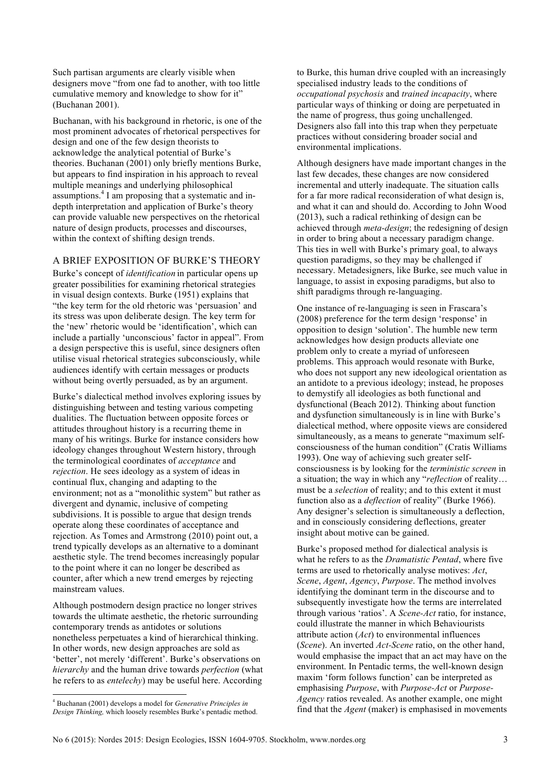Such partisan arguments are clearly visible when designers move "from one fad to another, with too little cumulative memory and knowledge to show for it" (Buchanan 2001).

Buchanan, with his background in rhetoric, is one of the most prominent advocates of rhetorical perspectives for design and one of the few design theorists to acknowledge the analytical potential of Burke's theories. Buchanan (2001) only briefly mentions Burke, but appears to find inspiration in his approach to reveal multiple meanings and underlying philosophical assumptions.4 I am proposing that a systematic and indepth interpretation and application of Burke's theory can provide valuable new perspectives on the rhetorical nature of design products, processes and discourses, within the context of shifting design trends.

# A BRIEF EXPOSITION OF BURKE'S THEORY

Burke's concept of *identification* in particular opens up greater possibilities for examining rhetorical strategies in visual design contexts. Burke (1951) explains that "the key term for the old rhetoric was 'persuasion' and its stress was upon deliberate design. The key term for the 'new' rhetoric would be 'identification', which can include a partially 'unconscious' factor in appeal". From a design perspective this is useful, since designers often utilise visual rhetorical strategies subconsciously, while audiences identify with certain messages or products without being overtly persuaded, as by an argument.

Burke's dialectical method involves exploring issues by distinguishing between and testing various competing dualities. The fluctuation between opposite forces or attitudes throughout history is a recurring theme in many of his writings. Burke for instance considers how ideology changes throughout Western history, through the terminological coordinates of *acceptance* and *rejection*. He sees ideology as a system of ideas in continual flux, changing and adapting to the environment; not as a "monolithic system" but rather as divergent and dynamic, inclusive of competing subdivisions. It is possible to argue that design trends operate along these coordinates of acceptance and rejection. As Tomes and Armstrong (2010) point out, a trend typically develops as an alternative to a dominant aesthetic style. The trend becomes increasingly popular to the point where it can no longer be described as counter, after which a new trend emerges by rejecting mainstream values.

Although postmodern design practice no longer strives towards the ultimate aesthetic, the rhetoric surrounding contemporary trends as antidotes or solutions nonetheless perpetuates a kind of hierarchical thinking. In other words, new design approaches are sold as 'better', not merely 'different'. Burke's observations on *hierarchy* and the human drive towards *perfection* (what he refers to as *entelechy*) may be useful here. According to Burke, this human drive coupled with an increasingly specialised industry leads to the conditions of *occupational psychosis* and *trained incapacity*, where particular ways of thinking or doing are perpetuated in the name of progress, thus going unchallenged. Designers also fall into this trap when they perpetuate practices without considering broader social and environmental implications.

Although designers have made important changes in the last few decades, these changes are now considered incremental and utterly inadequate. The situation calls for a far more radical reconsideration of what design is, and what it can and should do. According to John Wood (2013), such a radical rethinking of design can be achieved through *meta-design*; the redesigning of design in order to bring about a necessary paradigm change. This ties in well with Burke's primary goal, to always question paradigms, so they may be challenged if necessary. Metadesigners, like Burke, see much value in language, to assist in exposing paradigms, but also to shift paradigms through re-languaging.

One instance of re-languaging is seen in Frascara's (2008) preference for the term design 'response' in opposition to design 'solution'. The humble new term acknowledges how design products alleviate one problem only to create a myriad of unforeseen problems. This approach would resonate with Burke, who does not support any new ideological orientation as an antidote to a previous ideology; instead, he proposes to demystify all ideologies as both functional and dysfunctional (Beach 2012). Thinking about function and dysfunction simultaneously is in line with Burke's dialectical method, where opposite views are considered simultaneously, as a means to generate "maximum selfconsciousness of the human condition" (Cratis Williams 1993). One way of achieving such greater selfconsciousness is by looking for the *terministic screen* in a situation; the way in which any "*reflection* of reality… must be a *selection* of reality; and to this extent it must function also as a *deflection* of reality" (Burke 1966). Any designer's selection is simultaneously a deflection, and in consciously considering deflections, greater insight about motive can be gained.

Burke's proposed method for dialectical analysis is what he refers to as the *Dramatistic Pentad*, where five terms are used to rhetorically analyse motives: *Act*, *Scene*, *Agent*, *Agency*, *Purpose*. The method involves identifying the dominant term in the discourse and to subsequently investigate how the terms are interrelated through various 'ratios'. A *Scene-Act* ratio, for instance, could illustrate the manner in which Behaviourists attribute action (*Act*) to environmental influences (*Scene*). An inverted *Act-Scene* ratio, on the other hand, would emphasise the impact that an act may have on the environment. In Pentadic terms, the well-known design maxim 'form follows function' can be interpreted as emphasising *Purpose*, with *Purpose-Act* or *Purpose-Agency* ratios revealed. As another example, one might find that the *Agent* (maker) is emphasised in movements

 <sup>4</sup> Buchanan (2001) develops a model for *Generative Principles in Design Thinking,* which loosely resembles Burke's pentadic method.